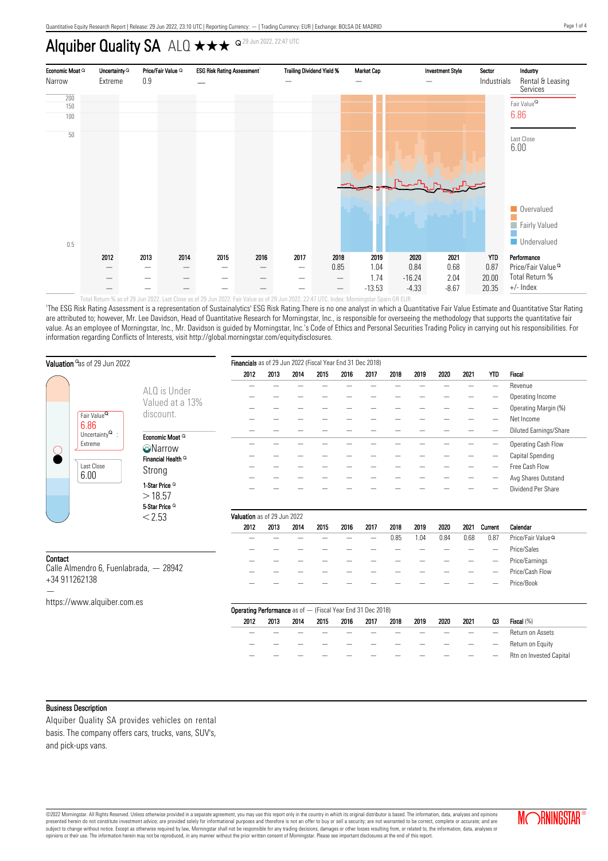# Alquiber Quality SA  $ALQ \star \star \star \trianglelefteq^{Q_{29 \text{ Jun } 2022, 22:47 \text{ UTC}}}$



'The ESG Risk Rating Assessment is a representation of Sustainalytics' ESG Risk Rating.There is no one analyst in which a Quantitative Fair Value Estimate and Quantitative Star Rating are attributed to; however, Mr. Lee Davidson, Head of Quantitative Research for Morningstar, Inc., is responsible for overseeing the methodology that supports the quantitative fair value. As an employee of Morningstar, Inc., Mr. Davidson is quided by Morningstar, Inc.'s Code of Ethics and Personal Securities Trading Policy in carrying out his responsibilities. For information regarding Conflicts of Interests, visit http://global.morningstar.com/equitydisclosures.

| Valuation <sup>o</sup> as of 29 Jun 2022                |                                       | Financials as of 29 Jun 2022 (Fiscal Year End 31 Dec 2018)  |                             |      |      |      |      |      |      |      |      |                          |                                |
|---------------------------------------------------------|---------------------------------------|-------------------------------------------------------------|-----------------------------|------|------|------|------|------|------|------|------|--------------------------|--------------------------------|
|                                                         |                                       | 2012                                                        | 2013                        | 2014 | 2015 | 2016 | 2017 | 2018 | 2019 | 2020 | 2021 | <b>YTD</b>               | <b>Fiscal</b>                  |
|                                                         | ALQ is Under                          |                                                             |                             |      |      |      |      |      |      |      |      |                          | Revenue                        |
|                                                         | Valued at a 13%                       |                                                             |                             |      |      |      |      |      |      |      |      |                          | Operating Income               |
|                                                         |                                       |                                                             |                             |      |      |      |      |      |      |      |      |                          | Operating Margin (%)           |
| Fair Value <sup>Q</sup><br>6.86                         | discount.                             |                                                             |                             |      |      |      |      |      |      |      |      |                          | Net Income                     |
| Uncertainty $^{\mathbf{Q}}$ :                           | Economic Moat Q                       |                                                             |                             |      |      |      |      |      |      |      |      |                          | Diluted Earnings/Share         |
| Extreme                                                 |                                       |                                                             |                             |      |      |      |      |      |      |      |      | -                        | Operating Cash Flow            |
|                                                         | <b>O</b> Narrow<br>Financial Health Q |                                                             |                             |      |      |      |      |      |      |      |      |                          | Capital Spending               |
| Last Close<br>6.00                                      | Strong                                |                                                             |                             |      |      |      |      |      |      |      |      |                          | Free Cash Flow                 |
|                                                         |                                       |                                                             |                             |      |      |      |      |      |      |      |      |                          | Avg Shares Outstand            |
|                                                         | 1-Star Price <sup>Q</sup>             |                                                             |                             |      |      |      |      |      |      |      |      |                          | Dividend Per Share             |
|                                                         | >18.57                                |                                                             |                             |      |      |      |      |      |      |      |      |                          |                                |
|                                                         | 5-Star Price <sup>Q</sup><br>< 2.53   |                                                             | Valuation as of 29 Jun 2022 |      |      |      |      |      |      |      |      |                          |                                |
|                                                         |                                       | 2012                                                        | 2013                        | 2014 | 2015 | 2016 | 2017 | 2018 | 2019 | 2020 | 2021 | Current                  | Calendar                       |
|                                                         |                                       |                                                             |                             |      |      |      |      | 0.85 | 1.04 | 0.84 | 0.68 | 0.87                     | Price/Fair Value <sup>Q</sup>  |
|                                                         |                                       |                                                             |                             |      |      |      |      |      |      |      |      | $\overline{\phantom{a}}$ | Price/Sales                    |
| Contact                                                 |                                       |                                                             |                             |      |      |      |      |      |      |      |      |                          | Price/Earnings                 |
| Calle Almendro 6, Fuenlabrada, - 28942<br>+34 911262138 |                                       |                                                             |                             |      |      |      |      |      |      |      |      |                          | Price/Cash Flow                |
|                                                         |                                       |                                                             |                             |      |      |      |      |      |      |      |      |                          | Price/Book                     |
| https://www.alquiber.com.es                             |                                       |                                                             |                             |      |      |      |      |      |      |      |      |                          |                                |
|                                                         |                                       | Operating Performance as of - (Fiscal Year End 31 Dec 2018) |                             |      |      |      |      |      |      |      |      |                          |                                |
|                                                         |                                       | 2012                                                        | 2013                        | 2014 | 2015 | 2016 | 2017 | 2018 | 2019 | 2020 | 2021 | Q3                       | Fiscal (%)                     |
|                                                         |                                       |                                                             |                             |      |      |      |      |      |      |      |      |                          | Return on Assets               |
|                                                         |                                       |                                                             |                             |      |      |      |      |      |      |      |      |                          | Return on Equity               |
|                                                         |                                       |                                                             |                             |      |      |      |      |      |      |      |      |                          | <b>Rtn on Invested Capital</b> |

#### Business Description

Alquiber Quality SA provides vehicles on rental basis. The company offers cars, trucks, vans, SUV's, and pick-ups vans.

©2022 Morningstar. All Rights Reserved. Unless otherwise provided in a separate agreement, you may use this report only in the country in which its original distributor is based. The information, data, analyses and opinions presented herein do not constitute investment advice; are provided solely for informational purposes and therefore is not an offer to buy or sell a security; are not warranted to be correct, complete or accurate; and are subject to change without notice. Except as otherwise required by law, Morningstar shall not be responsible for any trading decisions, damages or other losses resulting from, or related to, the information, data, analyses

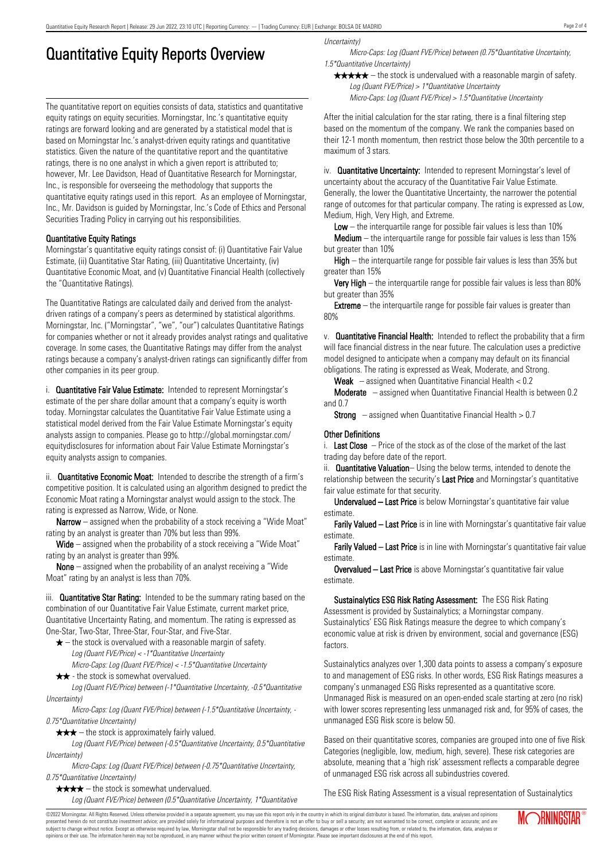# Quantitative Equity Reports Overview

The quantitative report on equities consists of data, statistics and quantitative equity ratings on equity securities. Morningstar, Inc.'s quantitative equity ratings are forward looking and are generated by a statistical model that is based on Morningstar Inc.'s analyst-driven equity ratings and quantitative statistics. Given the nature of the quantitative report and the quantitative ratings, there is no one analyst in which a given report is attributed to; however, Mr. Lee Davidson, Head of Quantitative Research for Morningstar, Inc., is responsible for overseeing the methodology that supports the quantitative equity ratings used in this report. As an employee of Morningstar, Inc., Mr. Davidson is guided by Morningstar, Inc.'s Code of Ethics and Personal Securities Trading Policy in carrying out his responsibilities.

## Quantitative Equity Ratings

Morningstar's quantitative equity ratings consist of: (i) Quantitative Fair Value Estimate, (ii) Quantitative Star Rating, (iii) Quantitative Uncertainty, (iv) Quantitative Economic Moat, and (v) Quantitative Financial Health (collectively the "Quantitative Ratings).

The Quantitative Ratings are calculated daily and derived from the analystdriven ratings of a company's peers as determined by statistical algorithms. Morningstar, Inc. ("Morningstar", "we", "our") calculates Quantitative Ratings for companies whether or not it already provides analyst ratings and qualitative coverage. In some cases, the Quantitative Ratings may differ from the analyst ratings because a company's analyst-driven ratings can significantly differ from other companies in its peer group.

i. **Quantitative Fair Value Estimate:** Intended to represent Morningstar's estimate of the per share dollar amount that a company's equity is worth today. Morningstar calculates the Quantitative Fair Value Estimate using a statistical model derived from the Fair Value Estimate Morningstar's equity analysts assign to companies. Please go to http://global.morningstar.com/ equitydisclosures for information about Fair Value Estimate Morningstar's equity analysts assign to companies.

ii. **Quantitative Economic Moat:** Intended to describe the strength of a firm's competitive position. It is calculated using an algorithm designed to predict the Economic Moat rating a Morningstar analyst would assign to the stock. The rating is expressed as Narrow, Wide, or None.

**Narrow** – assigned when the probability of a stock receiving a "Wide Moat" rating by an analyst is greater than 70% but less than 99%.

Wide – assigned when the probability of a stock receiving a "Wide Moat" rating by an analyst is greater than 99%.

None – assigned when the probability of an analyst receiving a "Wide Moat" rating by an analyst is less than 70%.

iii. **Quantitative Star Rating:** Intended to be the summary rating based on the combination of our Quantitative Fair Value Estimate, current market price, Quantitative Uncertainty Rating, and momentum. The rating is expressed as One-Star, Two-Star, Three-Star, Four-Star, and Five-Star.

- $\star$  the stock is overvalued with a reasonable margin of safety. Log (Quant FVE/Price) < -1\*Quantitative Uncertainty
- Micro-Caps: Log (Quant FVE/Price) < -1.5\*Quantitative Uncertainty  $\star \star$  - the stock is somewhat overvalued.

Log (Quant FVE/Price) between (-1\*Quantitative Uncertainty, -0.5\*Quantitative Uncertainty)

Micro-Caps: Log (Quant FVE/Price) between (-1.5\*Quantitative Uncertainty, - 0.75\*Quantitative Uncertainty)

 $\star \star \star$  – the stock is approximately fairly valued.

Log (Quant FVE/Price) between (-0.5\*Quantitative Uncertainty, 0.5\*Quantitative Uncertainty)

Micro-Caps: Log (Quant FVE/Price) between (-0.75\*Quantitative Uncertainty, 0.75\*Quantitative Uncertainty)

 $\star \star \star \star$  – the stock is somewhat undervalued. Log (Quant FVE/Price) between (0.5\*Quantitative Uncertainty, 1\*Quantitative Uncertainty)

Micro-Caps: Log (Quant FVE/Price) between (0.75\*Quantitative Uncertainty, 1.5\*Quantitative Uncertainty)

 $\star \star \star \star$  – the stock is undervalued with a reasonable margin of safety. Log (Quant FVE/Price) > 1\*Quantitative Uncertainty

Micro-Caps: Log (Quant FVE/Price) > 1.5\*Quantitative Uncertainty

After the initial calculation for the star rating, there is a final filtering step based on the momentum of the company. We rank the companies based on their 12-1 month momentum, then restrict those below the 30th percentile to a maximum of 3 stars.

iv. **Quantitative Uncertainty:** Intended to represent Morningstar's level of uncertainty about the accuracy of the Quantitative Fair Value Estimate. Generally, the lower the Quantitative Uncertainty, the narrower the potential range of outcomes for that particular company. The rating is expressed as Low, Medium, High, Very High, and Extreme.

**Low** – the interguartile range for possible fair values is less than  $10\%$ 

**Medium** – the interquartile range for possible fair values is less than  $15\%$ but greater than 10%

High – the interquartile range for possible fair values is less than 35% but greater than 15%

Very High – the interquartile range for possible fair values is less than 80% but greater than 35%

**Extreme** – the interquartile range for possible fair values is greater than 80%

v. Quantitative Financial Health: Intended to reflect the probability that a firm will face financial distress in the near future. The calculation uses a predictive model designed to anticipate when a company may default on its financial obligations. The rating is expressed as Weak, Moderate, and Strong.

**Weak**  $-$  assigned when Quantitative Financial Health  $< 0.2$ 

Moderate – assigned when Quantitative Financial Health is between 0.2 and 0.7

**Strong** – assigned when Quantitative Financial Health  $> 0.7$ 

## Other Definitions

i. Last Close  $-$  Price of the stock as of the close of the market of the last trading day before date of the report.

ii. **Quantitative Valuation**– Using the below terms, intended to denote the relationship between the security's Last Price and Morningstar's quantitative fair value estimate for that security.

Undervalued – Last Price is below Morningstar's quantitative fair value estimate.

Farily Valued – Last Price is in line with Morningstar's quantitative fair value estimate.

Farily Valued – Last Price is in line with Morningstar's quantitative fair value estimate.

Overvalued – Last Price is above Morningstar's quantitative fair value estimate.

Sustainalytics ESG Risk Rating Assessment: The ESG Risk Rating Assessment is provided by Sustainalytics; a Morningstar company. Sustainalytics' ESG Risk Ratings measure the degree to which company's economic value at risk is driven by environment, social and governance (ESG) factors.

Sustainalytics analyzes over 1,300 data points to assess a company's exposure to and management of ESG risks. In other words, ESG Risk Ratings measures a company's unmanaged ESG Risks represented as a quantitative score. Unmanaged Risk is measured on an open-ended scale starting at zero (no risk) with lower scores representing less unmanaged risk and, for 95% of cases, the unmanaged ESG Risk score is below 50.

Based on their quantitative scores, companies are grouped into one of five Risk Categories (negligible, low, medium, high, severe). These risk categories are absolute, meaning that a 'high risk' assessment reflects a comparable degree of unmanaged ESG risk across all subindustries covered.

The ESG Risk Rating Assessment is a visual representation of Sustainalytics

©2022 Morningstar. All Rights Reserved. Unless otherwise provided in a separate agreement, you may use this report only in the country in which its original distributor is based. The information, data, analyses and opinions presented herein do not constitute investment advice; are provided solely for informational purposes and therefore is not an offer to buy or sell a security; are not warranted to be correct, complete or accurate; and are subject to change without notice. Except as otherwise required by law, Morningstar shall not be responsible for any trading decisions, damages or other losses resulting from, or related to, the information, data, analyses or opinions or their use. The information herein may not be reproduced, in any manner without the prior written consent of Morningstar. Please see important disclosures at the end of this report.

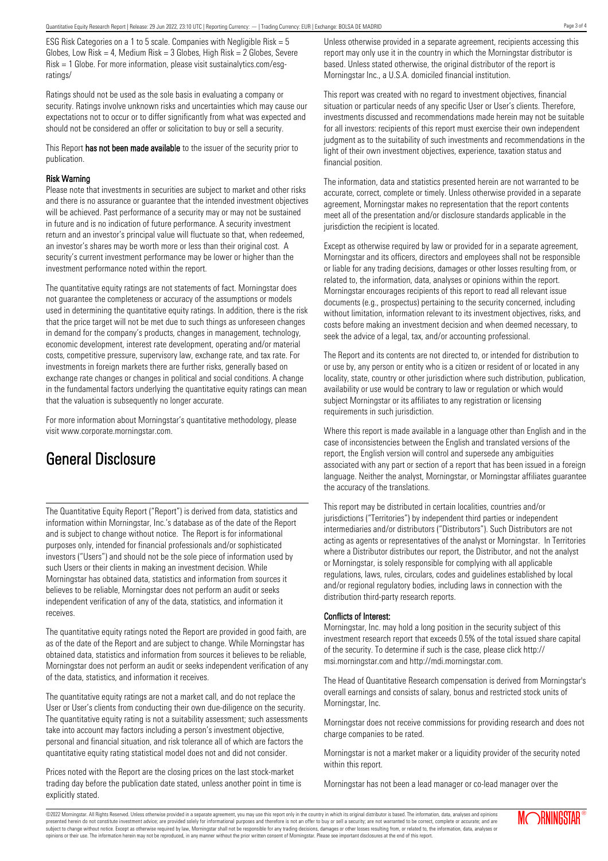ESG Risk Categories on a 1 to 5 scale. Companies with Negligible Risk = 5 Globes, Low Risk = 4, Medium Risk =  $3$  Globes, High Risk =  $2$  Globes, Severe Risk = 1 Globe. For more information, please visit sustainalytics.com/esgratings/

Ratings should not be used as the sole basis in evaluating a company or security. Ratings involve unknown risks and uncertainties which may cause our expectations not to occur or to differ significantly from what was expected and should not be considered an offer or solicitation to buy or sell a security.

This Report has not been made available to the issuer of the security prior to publication.

#### Risk Warning

Please note that investments in securities are subject to market and other risks and there is no assurance or guarantee that the intended investment objectives will be achieved. Past performance of a security may or may not be sustained in future and is no indication of future performance. A security investment return and an investor's principal value will fluctuate so that, when redeemed, an investor's shares may be worth more or less than their original cost. A security's current investment performance may be lower or higher than the investment performance noted within the report.

The quantitative equity ratings are not statements of fact. Morningstar does not guarantee the completeness or accuracy of the assumptions or models used in determining the quantitative equity ratings. In addition, there is the risk that the price target will not be met due to such things as unforeseen changes in demand for the company's products, changes in management, technology, economic development, interest rate development, operating and/or material costs, competitive pressure, supervisory law, exchange rate, and tax rate. For investments in foreign markets there are further risks, generally based on exchange rate changes or changes in political and social conditions. A change in the fundamental factors underlying the quantitative equity ratings can mean that the valuation is subsequently no longer accurate.

For more information about Morningstar's quantitative methodology, please visit www.corporate.morningstar.com.

# General Disclosure

The Quantitative Equity Report ("Report") is derived from data, statistics and information within Morningstar, Inc.'s database as of the date of the Report and is subject to change without notice. The Report is for informational purposes only, intended for financial professionals and/or sophisticated investors ("Users") and should not be the sole piece of information used by such Users or their clients in making an investment decision. While Morningstar has obtained data, statistics and information from sources it believes to be reliable, Morningstar does not perform an audit or seeks independent verification of any of the data, statistics, and information it receives.

The quantitative equity ratings noted the Report are provided in good faith, are as of the date of the Report and are subject to change. While Morningstar has obtained data, statistics and information from sources it believes to be reliable, Morningstar does not perform an audit or seeks independent verification of any of the data, statistics, and information it receives.

The quantitative equity ratings are not a market call, and do not replace the User or User's clients from conducting their own due-diligence on the security. The quantitative equity rating is not a suitability assessment; such assessments take into account may factors including a person's investment objective, personal and financial situation, and risk tolerance all of which are factors the quantitative equity rating statistical model does not and did not consider.

Prices noted with the Report are the closing prices on the last stock-market trading day before the publication date stated, unless another point in time is explicitly stated.

opinions or their use. The information herein may not be reproduced, in any manner without the prior written consent of Morningstar. Please see important disclosures at the end of this report.

Unless otherwise provided in a separate agreement, recipients accessing this report may only use it in the country in which the Morningstar distributor is based. Unless stated otherwise, the original distributor of the report is Morningstar Inc., a U.S.A. domiciled financial institution.

This report was created with no regard to investment objectives, financial situation or particular needs of any specific User or User's clients. Therefore, investments discussed and recommendations made herein may not be suitable for all investors: recipients of this report must exercise their own independent judgment as to the suitability of such investments and recommendations in the light of their own investment objectives, experience, taxation status and financial position.

The information, data and statistics presented herein are not warranted to be accurate, correct, complete or timely. Unless otherwise provided in a separate agreement, Morningstar makes no representation that the report contents meet all of the presentation and/or disclosure standards applicable in the jurisdiction the recipient is located.

Except as otherwise required by law or provided for in a separate agreement, Morningstar and its officers, directors and employees shall not be responsible or liable for any trading decisions, damages or other losses resulting from, or related to, the information, data, analyses or opinions within the report. Morningstar encourages recipients of this report to read all relevant issue documents (e.g., prospectus) pertaining to the security concerned, including without limitation, information relevant to its investment objectives, risks, and costs before making an investment decision and when deemed necessary, to seek the advice of a legal, tax, and/or accounting professional.

The Report and its contents are not directed to, or intended for distribution to or use by, any person or entity who is a citizen or resident of or located in any locality, state, country or other jurisdiction where such distribution, publication, availability or use would be contrary to law or regulation or which would subject Morningstar or its affiliates to any registration or licensing requirements in such jurisdiction.

Where this report is made available in a language other than English and in the case of inconsistencies between the English and translated versions of the report, the English version will control and supersede any ambiguities associated with any part or section of a report that has been issued in a foreign language. Neither the analyst, Morningstar, or Morningstar affiliates guarantee the accuracy of the translations.

This report may be distributed in certain localities, countries and/or jurisdictions ("Territories") by independent third parties or independent intermediaries and/or distributors ("Distributors"). Such Distributors are not acting as agents or representatives of the analyst or Morningstar. In Territories where a Distributor distributes our report, the Distributor, and not the analyst or Morningstar, is solely responsible for complying with all applicable regulations, laws, rules, circulars, codes and guidelines established by local and/or regional regulatory bodies, including laws in connection with the distribution third-party research reports.

### Conflicts of Interest:

Morningstar, Inc. may hold a long position in the security subject of this investment research report that exceeds 0.5% of the total issued share capital of the security. To determine if such is the case, please click http:// msi.morningstar.com and http://mdi.morningstar.com.

The Head of Quantitative Research compensation is derived from Morningstar's overall earnings and consists of salary, bonus and restricted stock units of Morningstar, Inc.

Morningstar does not receive commissions for providing research and does not charge companies to be rated.

Morningstar is not a market maker or a liquidity provider of the security noted within this report.

Morningstar has not been a lead manager or co-lead manager over the